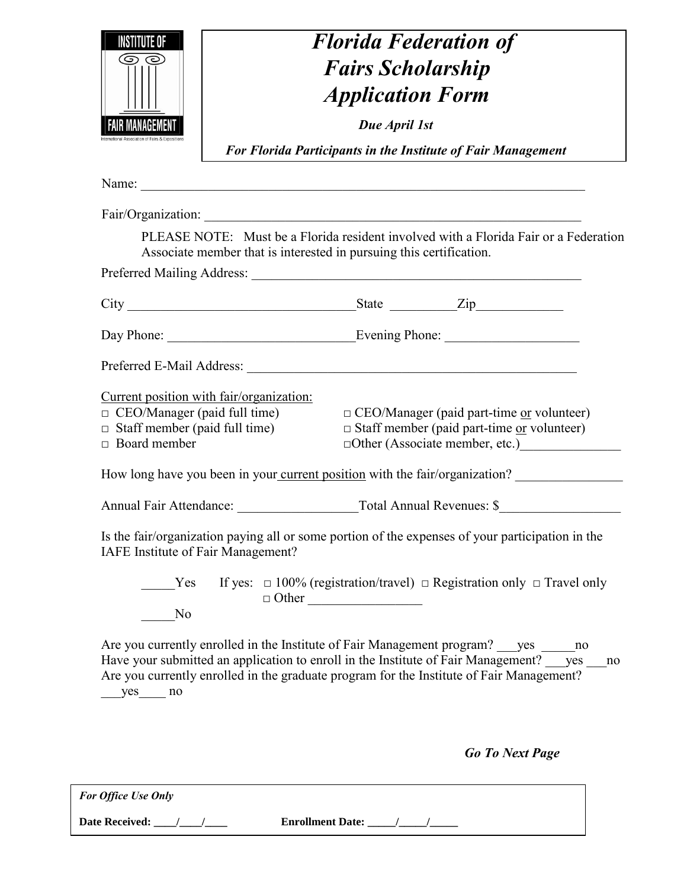| INSTITUTE OF<br>AIR MANAGEME                                | <b>Florida Federation of</b><br><b>Fairs Scholarship</b><br><b>Application Form</b><br>Due April 1st<br><b>For Florida Participants in the Institute of Fair Management</b>                                                                  |
|-------------------------------------------------------------|----------------------------------------------------------------------------------------------------------------------------------------------------------------------------------------------------------------------------------------------|
|                                                             | Fair/Organization:                                                                                                                                                                                                                           |
|                                                             | PLEASE NOTE: Must be a Florida resident involved with a Florida Fair or a Federation<br>Associate member that is interested in pursuing this certification.                                                                                  |
|                                                             |                                                                                                                                                                                                                                              |
|                                                             |                                                                                                                                                                                                                                              |
|                                                             |                                                                                                                                                                                                                                              |
| $\Box$ Staff member (paid full time)<br>$\Box$ Board member | Current position with fair/organization:<br>$\Box$ CEO/Manager (paid full time)<br>$\Box$ CEO/Manager (paid part-time <u>or</u> volunteer)<br>$\square$ Staff member (paid part-time <u>or</u> volunteer)<br>□Other (Associate member, etc.) |
|                                                             | How long have you been in your current position with the fair/organization?                                                                                                                                                                  |
|                                                             | Annual Fair Attendance: Total Annual Revenues: \$                                                                                                                                                                                            |
| IAFE Institute of Fair Management?                          | Is the fair/organization paying all or some portion of the expenses of your participation in the                                                                                                                                             |
| Yes<br>N <sub>0</sub>                                       | If yes: $\Box$ 100% (registration/travel) $\Box$ Registration only $\Box$ Travel only<br>$\Box$ Other<br>Are you currently enrolled in the Institute of Fair Management program? ___ yes _____<br>no                                         |
| $yes$ no                                                    | Have your submitted an application to enroll in the Institute of Fair Management? ___ yes ___ no<br>Are you currently enrolled in the graduate program for the Institute of Fair Management?                                                 |
|                                                             | <b>Go To Next Page</b>                                                                                                                                                                                                                       |

| <b>For Office Use Only</b> |                         |
|----------------------------|-------------------------|
| <b>Date Received:</b>      | <b>Enrollment Date:</b> |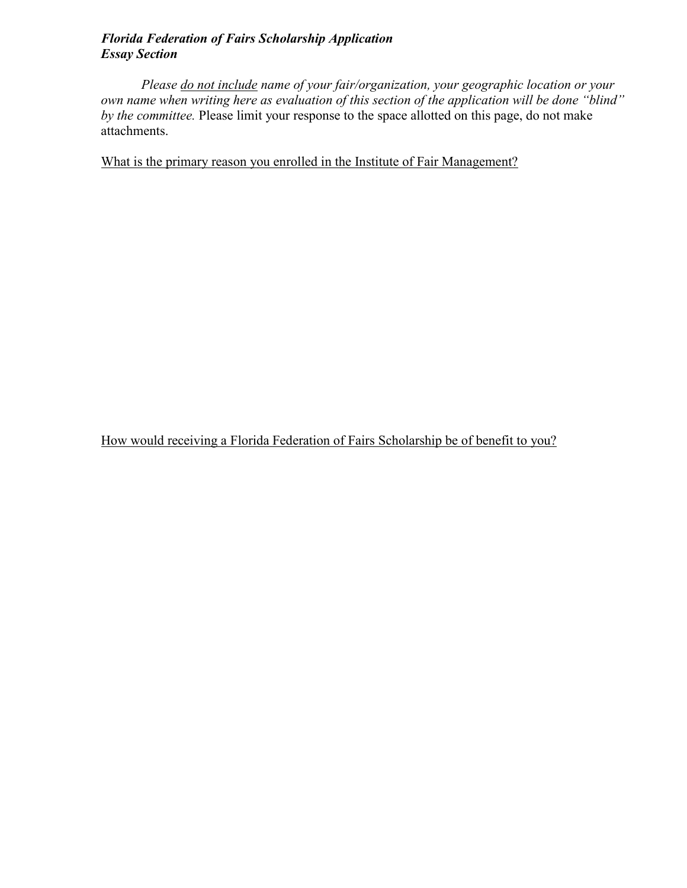## *Florida Federation of Fairs Scholarship Application Essay Section*

*Please do not include name of your fair/organization, your geographic location or your own name when writing here as evaluation of this section of the application will be done "blind" by the committee.* Please limit your response to the space allotted on this page, do not make attachments.

What is the primary reason you enrolled in the Institute of Fair Management?

How would receiving a Florida Federation of Fairs Scholarship be of benefit to you?